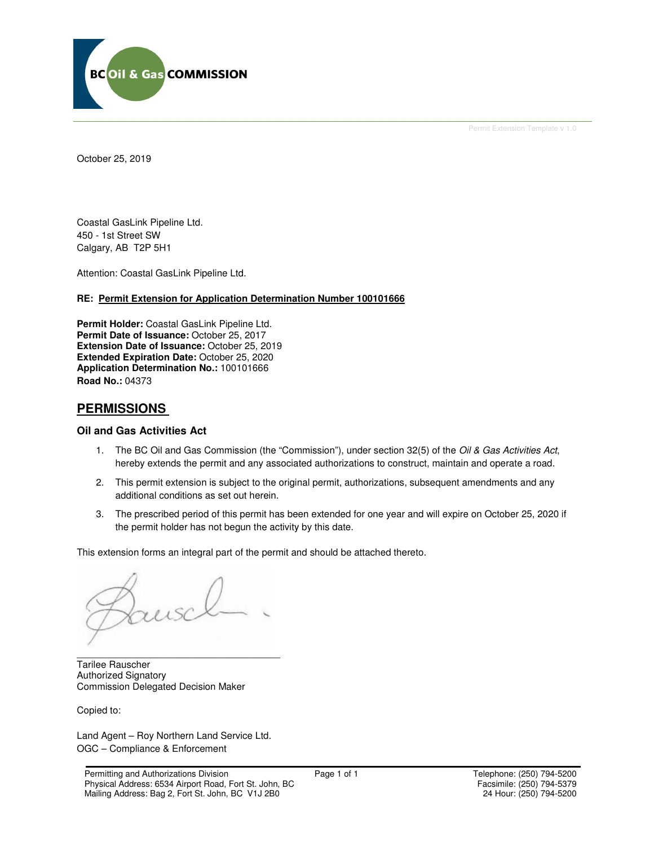

Permit Extension Template v 1.0

October 25, 2019

Coastal GasLink Pipeline Ltd. 450 - 1st Street SW Calgary, AB T2P 5H1

Attention: Coastal GasLink Pipeline Ltd.

#### **RE: Permit Extension for Application Determination Number 100101666**

**Permit Holder:** Coastal GasLink Pipeline Ltd. Permit Date of Issuance: October 25, 2017 **Extension Date of Issuance:** October 25, 2019 **Extended Expiration Date:** October 25, 2020 **Application Determination No.:** 100101666 **Road No.:** 04373

## **PERMISSIONS**

### **Oil and Gas Activities Act**

- 1. The BC Oil and Gas Commission (the "Commission"), under section 32(5) of the Oil & Gas Activities Act, hereby extends the permit and any associated authorizations to construct, maintain and operate a road.
- 2. This permit extension is subject to the original permit, authorizations, subsequent amendments and any additional conditions as set out herein.
- 3. The prescribed period of this permit has been extended for one year and will expire on October 25, 2020 if the permit holder has not begun the activity by this date.

This extension forms an integral part of the permit and should be attached thereto.

\_\_\_\_\_\_\_\_\_\_\_\_\_\_\_\_\_\_\_\_\_\_\_\_\_\_\_\_\_\_\_\_\_\_\_\_\_\_ Tarilee Rauscher Authorized Signatory Commission Delegated Decision Maker

Copied to:

Land Agent – Roy Northern Land Service Ltd. OGC – Compliance & Enforcement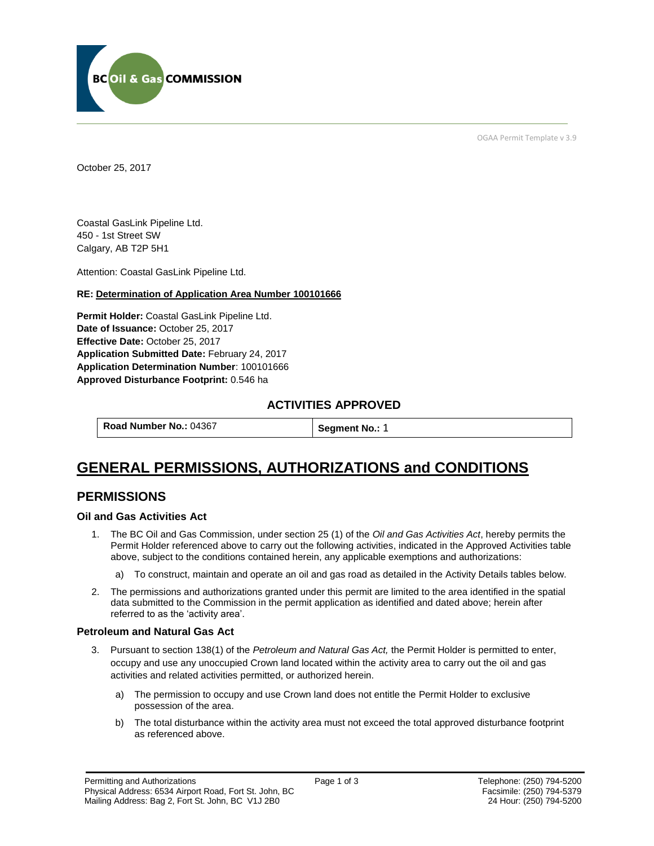

OGAA Permit Template v 3.9

October 25, 2017

Coastal GasLink Pipeline Ltd. 450 - 1st Street SW Calgary, AB T2P 5H1

[Attention:](#page-1-0) Coastal GasLink Pipeline Ltd.

### **RE: Determination of Application Area Number 100101666**

**[Permit Holder:](#page-1-0)** Coastal GasLink Pipeline Ltd. **[Date of Issuance:](#page-1-0)** October 25, 2017 **[Effective Date:](#page-1-1)** October 25, 2017 **[Application Submitted Date:](#page-1-0)** February 24, 2017 **[Application Determination Number](#page-1-0)**: 100101666 **Approved Disturbance Footprint:** 0.546 ha

## **ACTIVITIES APPROVED**

**[Road Number No.:](#page-1-0) 04367 [Segment No.:](https://bi.bcogc.ca/Application%20Processing/Interactive%20Reports/(BIL-041)%20AMS%20Decision%20Summary.aspx) 1** 

# **GENERAL PERMISSIONS, AUTHORIZATIONS and CONDITIONS**

## **PERMISSIONS**

### **Oil and Gas Activities Act**

- <span id="page-1-0"></span>1. The BC Oil and Gas Commission, under section 25 (1) of the *Oil and Gas Activities Act*, hereby permits the Permit Holder referenced above to carry out the following activities, indicated in the Approved Activities table above, subject to the conditions contained herein, any applicable exemptions and authorizations:
	- a) To construct, maintain and operate an oil and gas road as detailed in the Activity Details tables below.
- <span id="page-1-1"></span>2. The permissions and authorizations granted under this permit are limited to the area identified in the spatial data submitted to the Commission in the permit application as identified and dated above; herein after referred to as the 'activity area'.

### **Petroleum and Natural Gas Act**

- 3. Pursuant to section 138(1) of the *Petroleum and Natural Gas Act,* the Permit Holder is permitted to enter, occupy and use any unoccupied Crown land located within the activity area to carry out the oil and gas activities and related activities permitted, or authorized herein.
	- a) The permission to occupy and use Crown land does not entitle the Permit Holder to exclusive possession of the area.
	- b) The total disturbance within the activity area must not exceed the total approved disturbance footprint as referenced above.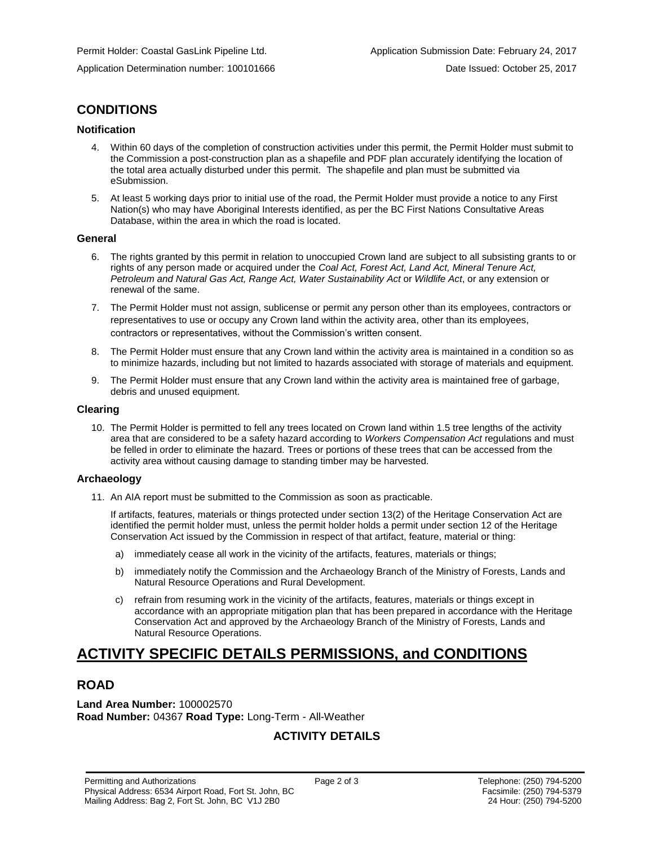## **CONDITIONS**

## **Notification**

- 4. Within 60 days of the completion of construction activities under this permit, the Permit Holder must submit to the Commission a post-construction plan as a shapefile and PDF plan accurately identifying the location of the total area actually disturbed under this permit. The shapefile and plan must be submitted via eSubmission.
- 5. At least 5 working days prior to initial use of the road, the Permit Holder must provide a notice to any First Nation(s) who may have Aboriginal Interests identified, as per the BC First Nations Consultative Areas Database, within the area in which the road is located.

### **General**

- 6. The rights granted by this permit in relation to unoccupied Crown land are subject to all subsisting grants to or rights of any person made or acquired under the *Coal Act, Forest Act, Land Act, Mineral Tenure Act, Petroleum and Natural Gas Act, Range Act, Water Sustainability Act* or *Wildlife Act*, or any extension or renewal of the same.
- 7. The Permit Holder must not assign, sublicense or permit any person other than its employees, contractors or representatives to use or occupy any Crown land within the activity area, other than its employees, contractors or representatives, without the Commission's written consent.
- 8. The Permit Holder must ensure that any Crown land within the activity area is maintained in a condition so as to minimize hazards, including but not limited to hazards associated with storage of materials and equipment.
- 9. The Permit Holder must ensure that any Crown land within the activity area is maintained free of garbage, debris and unused equipment.

### **Clearing**

10. The Permit Holder is permitted to fell any trees located on Crown land within 1.5 tree lengths of the activity area that are considered to be a safety hazard according to *Workers Compensation Act* regulations and must be felled in order to eliminate the hazard. Trees or portions of these trees that can be accessed from the activity area without causing damage to standing timber may be harvested.

## **Archaeology**

11. An AIA report must be submitted to the Commission as soon as practicable.

If artifacts, features, materials or things protected under section 13(2) of the Heritage Conservation Act are identified the permit holder must, unless the permit holder holds a permit under section 12 of the Heritage Conservation Act issued by the Commission in respect of that artifact, feature, material or thing:

- a) immediately cease all work in the vicinity of the artifacts, features, materials or things;
- b) immediately notify the Commission and the Archaeology Branch of the Ministry of Forests, Lands and Natural Resource Operations and Rural Development.
- c) refrain from resuming work in the vicinity of the artifacts, features, materials or things except in accordance with an appropriate mitigation plan that has been prepared in accordance with the Heritage Conservation Act and approved by the Archaeology Branch of the Ministry of Forests, Lands and Natural Resource Operations.

# **ACTIVITY SPECIFIC DETAILS PERMISSIONS, and CONDITIONS**

## **ROAD**

**Land Area Number:** 100002570 **Road Number:** 04367 **Road Type:** Long-Term - All-Weather

## **ACTIVITY DETAILS**